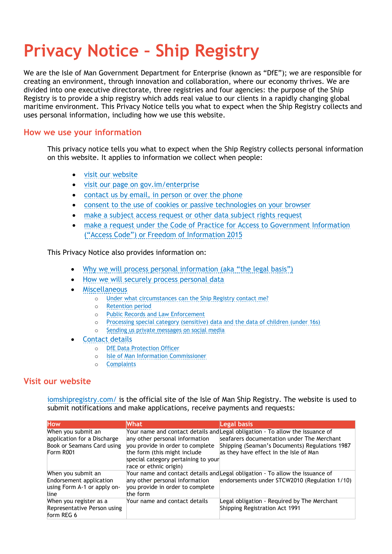# **Privacy Notice – Ship Registry**

We are the Isle of Man Government Department for Enterprise (known as "DfE"); we are responsible for creating an environment, through innovation and collaboration, where our economy thrives. We are divided into one executive directorate, three registries and four agencies: the purpose of the Ship Registry is to provide a ship registry which adds real value to our clients in a rapidly changing global maritime environment. This Privacy Notice tells you what to expect when the Ship Registry collects and uses personal information, including how we use this website.

# **How we use your information**

This privacy notice tells you what to expect when the Ship Registry collects personal information on this website. It applies to information we collect when people:

- visit our website
- visit our page on gov.im/enterprise
- [contact us by email, in person or over the phone](#page-2-0)
- [consent to the use of cookies or passive technologies on your browser](#page-4-0)
- [make a subject access request or other data subject rights request](#page-2-1)
- make a request under the Code of Practice for Access to Government Information ("Access Code") or Freedom of Information 2015

This Privacy Notice also provides information on:

- Why we [will process personal information \(aka "the legal basis"\)](#page-4-1)
- [How we will securely process personal data](#page-5-0)
- [Miscellaneous](#page-5-1)
	- o [Under what circumstances can the Ship Registry](#page-5-2) contact me?<br>
	o Retention period
	- **[Retention period](#page-5-3)**
	- o [Public Records and Law Enforcement](#page-5-4)
	- o [Processing special category \(sensitive\) data and the data of children \(under 16s\)](#page-6-0)
	- o [Sending us private messages](#page-6-1) on social media
- [Contact details](#page-6-2)
	- o [DfE Data Protection Officer](#page-6-3)
	- o [Isle of Man Information Commissioner](#page-6-4)
	- o [Complaints](#page-6-5)

# **Visit our website**

iomshipregistry.com/ is the official site of the Isle of Man Ship Registry. The website is used to submit notifications and make applications, receive payments and requests:

| How                                                                                          | What                                                                                                                                                                | Legal basis                                                                                                                                                                                                             |
|----------------------------------------------------------------------------------------------|---------------------------------------------------------------------------------------------------------------------------------------------------------------------|-------------------------------------------------------------------------------------------------------------------------------------------------------------------------------------------------------------------------|
| When you submit an<br>application for a Discharge<br>Book or Seamans Card using<br>Form R001 | any other personal information<br>you provide in order to complete<br>the form (this might include<br>special category pertaining to your<br>race or ethnic origin) | Your name and contact details and Legal obligation - To allow the issuance of<br>seafarers documentation under The Merchant<br>Shipping (Seaman's Documents) Regulations 1987<br>as they have effect in the Isle of Man |
| When you submit an<br>Endorsement application<br>using Form A-1 or apply on-<br>line         | any other personal information<br>you provide in order to complete<br>the form                                                                                      | Your name and contact details and Legal obligation - To allow the issuance of<br>endorsements under STCW2010 (Regulation 1/10)                                                                                          |
| When you register as a<br>Representative Person using<br>form REG 6                          | Your name and contact details                                                                                                                                       | Legal obligation - Required by The Merchant<br>Shipping Registration Act 1991                                                                                                                                           |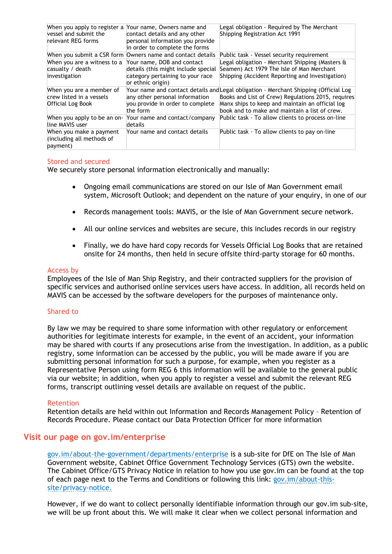| When you apply to register a<br>vessel and submit the                     | Your name, Owners name and<br>contact details and any other                                                                | Legal obligation - Required by The Merchant<br>Shipping Registration Act 1991                                                                                                                                                                  |
|---------------------------------------------------------------------------|----------------------------------------------------------------------------------------------------------------------------|------------------------------------------------------------------------------------------------------------------------------------------------------------------------------------------------------------------------------------------------|
| relevant REG forms                                                        | personal information you provide<br>in order to complete the forms                                                         |                                                                                                                                                                                                                                                |
| When you submit a CSR form                                                | Owners name and contact details                                                                                            | Public task - Vessel security requirement                                                                                                                                                                                                      |
| When you are a witness to a<br>casualty / death<br>investigation          | Your name, DOB and contact<br>details (this might include special<br>category pertaining to your race<br>or ethnic origin) | Legal obligation - Merchant Shipping (Masters &<br>Seamen) Act 1979 The Isle of Man Merchant<br>Shipping (Accident Reporting and Investigation)                                                                                                |
| When you are a member of<br>crew listed in a vessels<br>Official Log Book | any other personal information<br>you provide in order to complete<br>the form                                             | Your name and contact details and Legal obligation - Merchant Shipping (Official Log<br>Books and List of Crew) Regulations 2015, requires<br>Manx ships to keep and maintain an official log<br>book and to make and maintain a list of crew. |
| When you apply to be an on-<br>line MAVIS user                            | Your name and contact/company<br>details                                                                                   | Public task - To allow clients to process on-line                                                                                                                                                                                              |
| When you make a payment<br>(including all methods of<br>payment)          | Your name and contact details                                                                                              | Public task - To allow clients to pay on-line                                                                                                                                                                                                  |

## Stored and secured

We securely store personal information electronically and manually:

- Ongoing email communications are stored on our Isle of Man Government email system, Microsoft Outlook; and dependent on the nature of your enquiry, in one of our
- Records management tools: MAVIS, or the Isle of Man Government secure network.
- All our online services and websites are secure, this includes records in our registry
- Finally, we do have hard copy records for Vessels Official Log Books that are retained onsite for 24 months, then held in secure offsite third-party storage for 60 months.

#### Access by

Employees of the Isle of Man Ship Registry, and their contracted suppliers for the provision of specific services and authorised online services users have access. In addition, all records held on MAVIS can be accessed by the software developers for the purposes of maintenance only.

## Shared to

By law we may be required to share some information with other regulatory or enforcement authorities for legitimate interests for example, in the event of an accident, your information may be shared with courts if any prosecutions arise from the investigation. In addition, as a public registry, some information can be accessed by the public, you will be made aware if you are submitting personal information for such a purpose, for example, when you register as a Representative Person using form REG 6 this information will be available to the general public via our website; in addition, when you apply to register a vessel and submit the relevant REG forms, transcript outlining vessel details are available on request of the public.

## Retention

Retention details are held within out Information and Records Management Policy – Retention of Records Procedure. Please contact our Data Protection Officer for more information

## **Visit our page on gov.im/enterprise**

[gov.im/about-the-government/departments/enterprise](https://www.gov.im/about-the-government/departments/enterprise/) is a sub-site for DfE on The Isle of Man Government website, Cabinet Office Government Technology Services (GTS) own the website. The Cabinet Office/GTS Privacy Notice in relation to how you use gov.im can be found at the top of each page next to the Terms and Conditions or following this link: [gov.im/about-this](http://www.gov.im/about-this-site/privacy-notice/)[site/privacy-notice.](http://www.gov.im/about-this-site/privacy-notice/)

However, if we do want to collect personally identifiable information through our gov.im sub-site, we will be up front about this. We will make it clear when we collect personal information and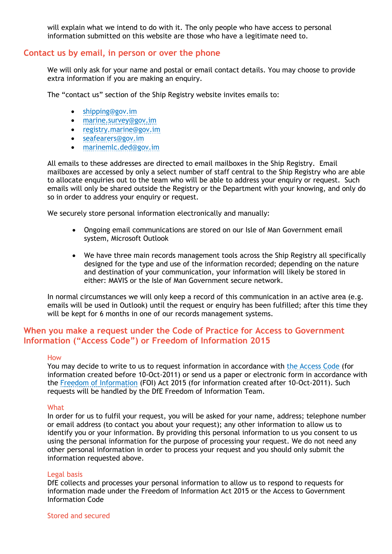will explain what we intend to do with it. The only people who have access to personal information submitted on this website are those who have a legitimate need to.

# <span id="page-2-0"></span>**Contact us by email, in person or over the phone**

We will only ask for your name and postal or email contact details. You may choose to provide extra information if you are making an enquiry.

The "contact us" section of the Ship Registry website invites emails to:

- [shipping@gov.im](mailto:shipping@gov.im)
- [marine.survey@gov.im](mailto:marine.survey@gov.im)
- [registry.marine@gov.im](mailto:registry.marine@gov.im)
- [seafearers@gov.im](mailto:seafearers@gov.im)
- [marinemlc.ded@gov.im](mailto:marinemlc.ded@gov.im)

All emails to these addresses are directed to email mailboxes in the Ship Registry. Email mailboxes are accessed by only a select number of staff central to the Ship Registry who are able to allocate enquiries out to the team who will be able to address your enquiry or request. Such emails will only be shared outside the Registry or the Department with your knowing, and only do so in order to address your enquiry or request.

We securely store personal information electronically and manually:

- Ongoing email communications are stored on our Isle of Man Government email system, Microsoft Outlook
- We have three main records management tools across the Ship Registry all specifically designed for the type and use of the information recorded; depending on the nature and destination of your communication, your information will likely be stored in either: MAVIS or the Isle of Man Government secure network.

In normal circumstances we will only keep a record of this communication in an active area (e.g. emails will be used in Outlook) until the request or enquiry has been fulfilled; after this time they will be kept for 6 months in one of our records management systems.

# <span id="page-2-1"></span>**When you make a request under the Code of Practice for Access to Government Information ("Access Code") or Freedom of Information 2015**

#### How

You may decide to write to us to request information in accordance with [the Access Code](https://www.gov.im/media/881974/access-code.pdf) (for information created before 10-Oct-2011) or send us a paper or electronic form in accordance with the [Freedom of Information](https://www.gov.im/about-the-government/freedom-of-information/make-a-freedom-of-information-request/) (FOI) Act 2015 (for information created after 10-Oct-2011). Such requests will be handled by the DfE Freedom of Information Team.

## **What**

In order for us to fulfil your request, you will be asked for your name, address; telephone number or email address (to contact you about your request); any other information to allow us to identify you or your information. By providing this personal information to us you consent to us using the personal information for the purpose of processing your request. We do not need any other personal information in order to process your request and you should only submit the information requested above.

#### Legal basis

DfE collects and processes your personal information to allow us to respond to requests for information made under the Freedom of Information Act 2015 or the Access to Government Information Code

Stored and secured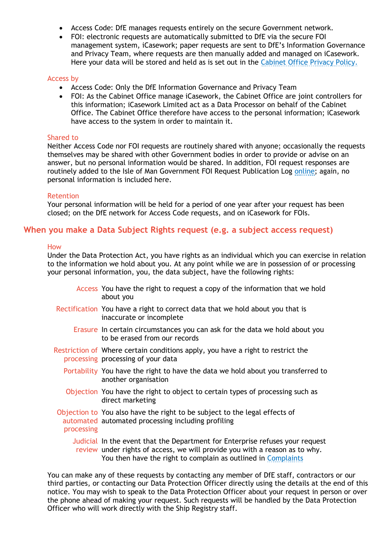- Access Code: DfE manages requests entirely on the secure Government network.
- FOI: electronic requests are automatically submitted to DfE via the secure FOI management system, iCasework; paper requests are sent to DfE's Information Governance and Privacy Team, where requests are then manually added and managed on iCasework. Here your data will be stored and held as is set out in the [Cabinet Office Privacy Policy.](https://www.gov.im/media/1360105/2017-12-12-privacy-notice.pdf)

## Access by

- Access Code: Only the DfE Information Governance and Privacy Team
- FOI: As the Cabinet Office manage iCasework, the Cabinet Office are joint controllers for this information; iCasework Limited act as a Data Processor on behalf of the Cabinet Office. The Cabinet Office therefore have access to the personal information; iCasework have access to the system in order to maintain it.

#### Shared to

Neither Access Code nor FOI requests are routinely shared with anyone; occasionally the requests themselves may be shared with other Government bodies in order to provide or advise on an answer, but no personal information would be shared. In addition, FOI request responses are routinely added to the Isle of Man Government FOI Request Publication Log [online;](https://services.gov.im/freedom-of-information/search) again, no personal information is included here.

## Retention

Your personal information will be held for a period of one year after your request has been closed; on the DfE network for Access Code requests, and on iCasework for FOIs.

# **When you make a Data Subject Rights request (e.g. a subject access request)**

#### How

Under the Data Protection Act, you have rights as an individual which you can exercise in relation to the information we hold about you. At any point while we are in possession of or processing your personal information, you, the data subject, have the following rights:

- Access You have the right to request a copy of the information that we hold about you
- Rectification You have a right to correct data that we hold about you that is inaccurate or incomplete
	- Erasure In certain circumstances you can ask for the data we hold about you to be erased from our records
- Restriction of Where certain conditions apply, you have a right to restrict the processing processing of your data
	- Portability You have the right to have the data we hold about you transferred to another organisation
	- Objection You have the right to object to certain types of processing such as direct marketing
- Objection to You also have the right to be subject to the legal effects of automated automated processing including profiling processing
	- Judicial In the event that the Department for Enterprise refuses your request review under rights of access, we will provide you with a reason as to why. You then have the right to complain as outlined in [Complaints](#page-5-5)

You can make any of these requests by contacting any member of DfE staff, contractors or our third parties, or contacting our Data Protection Officer directly using the details at the end of this notice. You may wish to speak to the Data Protection Officer about your request in person or over the phone ahead of making your request. Such requests will be handled by the Data Protection Officer who will work directly with the Ship Registry staff.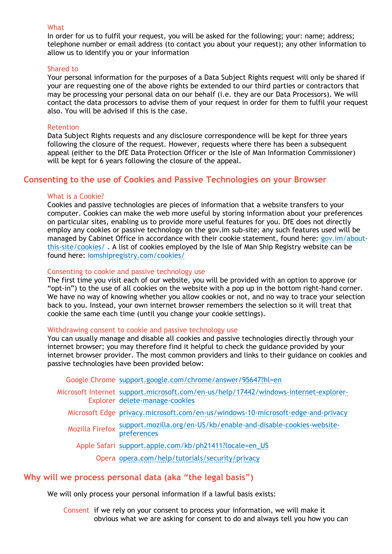## **What**

In order for us to fulfil your request, you will be asked for the following; your: name; address; telephone number or email address (to contact you about your request); any other information to allow us to identify you or your information

## Shared to

Your personal information for the purposes of a Data Subject Rights request will only be shared if your are requesting one of the above rights be extended to our third parties or contractors that may be processing your personal data on our behalf (i.e. they are our Data Processors). We will contact the data processors to advise them of your request in order for them to fulfil your request also. You will be advised if this is the case.

## Retention

Data Subject Rights requests and any disclosure correspondence will be kept for three years following the closure of the request. However, requests where there has been a subsequent appeal (either to the DfE Data Protection Officer or the Isle of Man Information Commissioner) will be kept for 6 years following the closure of the appeal.

# <span id="page-4-0"></span>**Consenting to the use of Cookies and Passive Technologies on your Browser**

## What is a Cookie?

Cookies and passive technologies are pieces of information that a website transfers to your computer. Cookies can make the web more useful by storing information about your preferences on particular sites, enabling us to provide more useful features for you. DfE does not directly employ any cookies or passive technology on the gov.im sub-site; any such features used will be managed by Cabinet Office in accordance with their cookie statement, found here: [gov.im/about](http://www.gov.im/about-this-site/cookies/)[this-site/cookies/](http://www.gov.im/about-this-site/cookies/) . A list of cookies employed by the Isle of Man Ship Registry website can be found here: [iomshipregistry.com/cookies/](https://www.iomshipregistry.com/cookies/)

## Consenting to cookie and passive technology use

The first time you visit each of our website, you will be provided with an option to approve (or "opt-in") to the use of all cookies on the website with a pop up in the bottom right-hand corner. We have no way of knowing whether you allow cookies or not, and no way to trace your selection back to you. Instead, your own internet browser remembers the selection so it will treat that cookie the same each time (until you change your cookie settings).

## Withdrawing consent to cookie and passive technology use

You can usually manage and disable all cookies and passive technologies directly through your internet browser; you may therefore find it helpful to check the guidance provided by your internet browser provider. The most common providers and links to their guidance on cookies and passive technologies have been provided below:

|  |  | Google Chrome support.google.com/chrome/answer/95647?hl=en |
|--|--|------------------------------------------------------------|
|--|--|------------------------------------------------------------|

- Microsoft Internet [support.microsoft.com/en-us/help/17442/windows-internet-explorer-](https://support.microsoft.com/en-us/help/17442/windows-internet-explorer-delete-manage-cookies)Explorer [delete-manage-cookies](https://support.microsoft.com/en-us/help/17442/windows-internet-explorer-delete-manage-cookies)
	- Microsoft Edge [privacy.microsoft.com/en-us/windows-10-microsoft-edge-and-privacy](https://privacy.microsoft.com/en-us/windows-10-microsoft-edge-and-privacy)
	- Mozilla Firefox [support.mozilla.org/en-US/kb/enable-and-disable-cookies-website](https://support.mozilla.org/en-US/kb/enable-and-disable-cookies-website-preferences)[preferences](https://support.mozilla.org/en-US/kb/enable-and-disable-cookies-website-preferences)
		- Apple Safari [support.apple.com/kb/ph21411?locale=en\\_US](https://support.apple.com/kb/ph21411?locale=en_US)

Opera [opera.com/help/tutorials/security/privacy](http://www.opera.com/help/tutorials/security/privacy)

# <span id="page-4-1"></span>**Why will we process personal data (aka "the legal basis")**

We will only process your personal information if a lawful basis exists:

Consent if we rely on your consent to process your information, we will make it obvious what we are asking for consent to do and always tell you how you can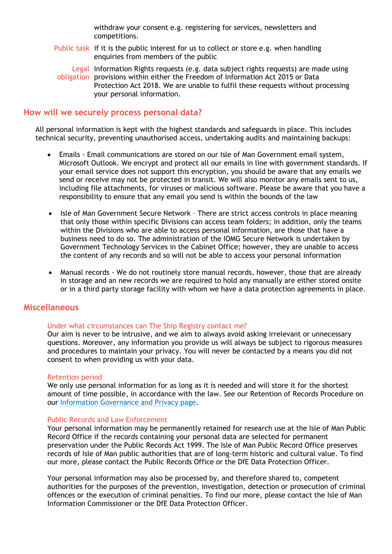withdraw your consent e.g. registering for services, newsletters and competitions.

Public task if it is the public interest for us to collect or store e.g. when handling enquiries from members of the public

Legal Information Rights requests (e.g. data subject rights requests) are made using obligation provisions within either the Freedom of Information Act 2015 or Data Protection Act 2018. We are unable to fulfil these requests without processing your personal information.

# <span id="page-5-0"></span>**How will we securely process personal data?**

All personal information is kept with the highest standards and safeguards in place. This includes technical security, preventing unauthorised access, undertaking audits and maintaining backups:

- Emails Email communications are stored on our Isle of Man Government email system, Microsoft Outlook. We encrypt and protect all our emails in line with government standards. If your email service does not support this encryption, you should be aware that any emails we send or receive may not be protected in transit. We will also monitor any emails sent to us, including file attachments, for viruses or malicious software. Please be aware that you have a responsibility to ensure that any email you send is within the bounds of the law
- Isle of Man Government Secure Network There are strict access controls in place meaning that only those within specific Divisions can access team folders; in addition, only the teams within the Divisions who are able to access personal information, are those that have a business need to do so. The administration of the IOMG Secure Network is undertaken by Government Technology Services in the Cabinet Office; however, they are unable to access the content of any records and so will not be able to access your personal information
- Manual records We do not routinely store manual records, however, those that are already in storage and an new records we are required to hold any manually are either stored onsite or in a third party storage facility with whom we have a data protection agreements in place.

# <span id="page-5-2"></span><span id="page-5-1"></span>**Miscellaneous**

## Under what circumstances can The Ship Registry contact me?

Our aim is never to be intrusive, and we aim to always avoid asking irrelevant or unnecessary questions. Moreover, any information you provide us will always be subject to rigorous measures and procedures to maintain your privacy. You will never be contacted by a means you did not consent to when providing us with your data.

## <span id="page-5-3"></span>Retention period

We only use personal information for as long as it is needed and will store it for the shortest amount of time possible, in accordance with the law. See our Retention of Records Procedure on our [Information Governance and Privacy page.](http://edrm/sites/ded/IP-Test/IGP%20Policies%20and%20Procedures/Data%20Protection%20Policy%20and%20Procedures/gov.im/about-the-government/departments/enterprise)

## <span id="page-5-4"></span>Public Records and Law Enforcement

<span id="page-5-5"></span>Your personal information may be permanently retained for research use at the Isle of Man Public Record Office if the records containing your personal data are selected for permanent preservation under the Public Records Act 1999. The Isle of Man Public Record Office preserves records of Isle of Man public authorities that are of long-term historic and cultural value. To find our more, please contact the Public Records Office or the DfE Data Protection Officer.

Your personal information may also be processed by, and therefore shared to, competent authorities for the purposes of the prevention, investigation, detection or prosecution of criminal offences or the execution of criminal penalties. To find our more, please contact the Isle of Man Information Commissioner or the DfE Data Protection Officer.